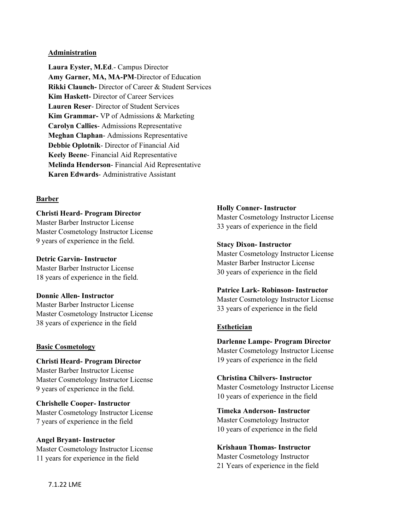#### **Administration**

**Laura Eyster, M.Ed**.- Campus Director **Amy Garner, MA, MA-PM**-Director of Education **Rikki Claunch-** Director of Career & Student Services **Kim Haskett-** Director of Career Services **Lauren Reser**- Director of Student Services **Kim Grammar-** VP of Admissions & Marketing **Carolyn Callies**- Admissions Representative **Meghan Claphan**- Admissions Representative **Debbie Oplotnik**- Director of Financial Aid **Keely Beene**- Financial Aid Representative **Melinda Henderson**- Financial Aid Representative **Karen Edwards**- Administrative Assistant

### **Barber**

**Christi Heard- Program Director** 

Master Barber Instructor License Master Cosmetology Instructor License 9 years of experience in the field.

**Detric Garvin- Instructor**  Master Barber Instructor License

18 years of experience in the field.

**Donnie Allen- Instructor**

Master Barber Instructor License Master Cosmetology Instructor License 38 years of experience in the field

### **Basic Cosmetology**

**Christi Heard- Program Director**  Master Barber Instructor License Master Cosmetology Instructor License 9 years of experience in the field.

**Chrishelle Cooper- Instructor** Master Cosmetology Instructor License 7 years of experience in the field

**Angel Bryant- Instructor** Master Cosmetology Instructor License 11 years for experience in the field

### **Holly Conner- Instructor**

Master Cosmetology Instructor License 33 years of experience in the field

#### **Stacy Dixon- Instructor**

Master Cosmetology Instructor License Master Barber Instructor License 30 years of experience in the field

### **Patrice Lark- Robinson- Instructor**

Master Cosmetology Instructor License 33 years of experience in the field

### **Esthetician**

**Darlenne Lampe- Program Director**  Master Cosmetology Instructor License 19 years of experience in the field

**Christina Chilvers- Instructor** Master Cosmetology Instructor License 10 years of experience in the field

**Timeka Anderson- Instructor** Master Cosmetology Instructor 10 years of experience in the field

**Krishaun Thomas- Instructor** Master Cosmetology Instructor 21 Years of experience in the field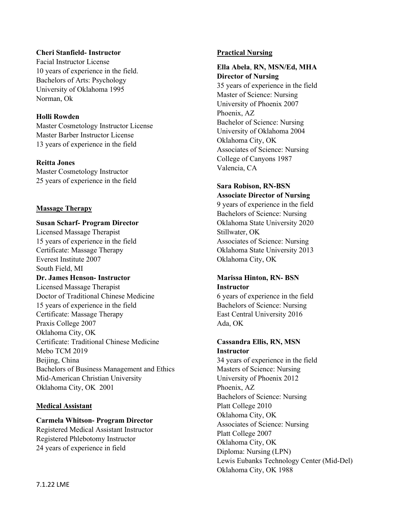## **Cheri Stanfield- Instructor**

Facial Instructor License 10 years of experience in the field. Bachelors of Arts: Psychology University of Oklahoma 1995 Norman, Ok

## **Holli Rowden**

Master Cosmetology Instructor License Master Barber Instructor License 13 years of experience in the field

## **Reitta Jones**

Master Cosmetology Instructor 25 years of experience in the field

### **Massage Therapy**

#### **Susan Scharf- Program Director**

Licensed Massage Therapist 15 years of experience in the field Certificate: Massage Therapy Everest Institute 2007 South Field, MI **Dr. James Henson- Instructor**  Licensed Massage Therapist Doctor of Traditional Chinese Medicine 15 years of experience in the field Certificate: Massage Therapy Praxis College 2007 Oklahoma City, OK Certificate: Traditional Chinese Medicine Mebo TCM 2019 Beijing, China Bachelors of Business Management and Ethics Mid-American Christian University Oklahoma City, OK 2001

### **Medical Assistant**

# **Carmela Whitson- Program Director**

Registered Medical Assistant Instructor Registered Phlebotomy Instructor 24 years of experience in field

### **Practical Nursing**

### **Ella Abela**, **RN, MSN/Ed, MHA Director of Nursing**

35 years of experience in the field Master of Science: Nursing University of Phoenix 2007 Phoenix, AZ Bachelor of Science: Nursing University of Oklahoma 2004 Oklahoma City, OK Associates of Science: Nursing College of Canyons 1987 Valencia, CA

### **Sara Robison, RN-BSN Associate Director of Nursing**

9 years of experience in the field Bachelors of Science: Nursing Oklahoma State University 2020 Stillwater, OK Associates of Science: Nursing Oklahoma State University 2013 Oklahoma City, OK

## **Marissa Hinton, RN- BSN Instructor**

6 years of experience in the field Bachelors of Science: Nursing East Central University 2016 Ada, OK

### **Cassandra Ellis, RN, MSN Instructor**

34 years of experience in the field Masters of Science: Nursing University of Phoenix 2012 Phoenix, AZ Bachelors of Science: Nursing Platt College 2010 Oklahoma City, OK Associates of Science: Nursing Platt College 2007 Oklahoma City, OK Diploma: Nursing (LPN) Lewis Eubanks Technology Center (Mid-Del) Oklahoma City, OK 1988